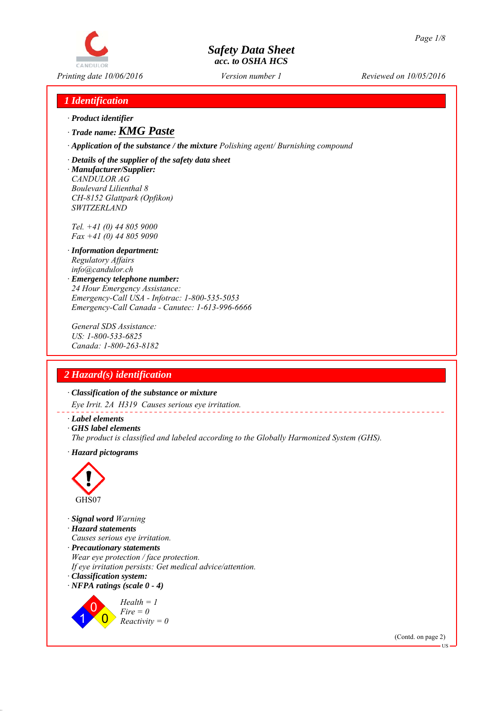# CANDULOR

# *Safety Data Sheet acc. to OSHA HCS*

*Printing date 10/06/2016 Reviewed on 10/05/2016 Version number 1*

# *1 Identification*

- *∙ Product identifier*
- *∙ Trade name: KMG Paste*
- *∙ Application of the substance / the mixture Polishing agent/ Burnishing compound*
- *∙ Details of the supplier of the safety data sheet*
- *∙ Manufacturer/Supplier: CANDULOR AG Boulevard Lilienthal 8 CH-8152 Glattpark (Opfikon) SWITZERLAND*

*Tel. +41 (0) 44 805 9000 Fax +41 (0) 44 805 9090*

- *∙ Information department: Regulatory Affairs info@candulor.ch*
- *∙ Emergency telephone number: 24 Hour Emergency Assistance: Emergency-Call USA - Infotrac: 1-800-535-5053 Emergency-Call Canada - Canutec: 1-613-996-6666*

*General SDS Assistance: US: 1-800-533-6825 Canada: 1-800-263-8182*

# *2 Hazard(s) identification*

*∙ Classification of the substance or mixture*

*Eye Irrit. 2A H319 Causes serious eye irritation.*

- *∙ Label elements*
- *∙ GHS label elements*
- *The product is classified and labeled according to the Globally Harmonized System (GHS).*
- *∙ Hazard pictograms*



*∙ Signal word Warning ∙ Hazard statements Causes serious eye irritation. ∙ Precautionary statements Wear eye protection / face protection. If eye irritation persists: Get medical advice/attention. ∙ Classification system: ∙ NFPA ratings (scale 0 - 4)* 1 0  $\overline{0}$ *Health = 1 Fire = 0*

*Reactivity = 0*

(Contd. on page 2)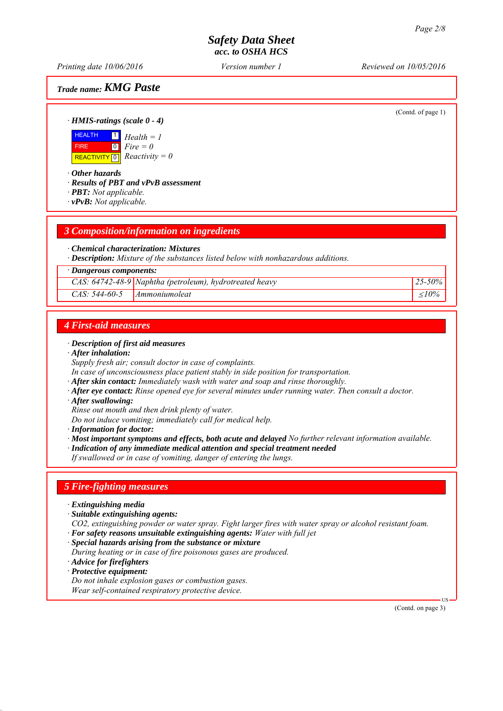*Printing date 10/06/2016 Reviewed on 10/05/2016 Version number 1*

*Trade name: KMG Paste*

(Contd. of page 1)

*∙ HMIS-ratings (scale 0 - 4)*

**HEALTH**  FIRE  $\boxed{\text{REACTIVITY} \boxed{0}}$  Reactivity = 0 1  $\boxed{0}$ *Health = 1 Fire = 0*

*∙ Other hazards*

*∙ Results of PBT and vPvB assessment*

*∙ PBT: Not applicable.*

*∙ vPvB: Not applicable.*

## *3 Composition/information on ingredients*

#### *∙ Chemical characterization: Mixtures*

*∙ Description: Mixture of the substances listed below with nonhazardous additions.*

#### *∙ Dangerous components:*

*CAS: 64742-48-9 Naphtha (petroleum), hydrotreated heavy 25-50%*

*CAS: 544-60-5 Ammoniumoleat 10%*

## *4 First-aid measures*

#### *∙ Description of first aid measures*

*∙ After inhalation:*

*Supply fresh air; consult doctor in case of complaints.*

- *In case of unconsciousness place patient stably in side position for transportation.*
- *∙ After skin contact: Immediately wash with water and soap and rinse thoroughly.*
- *∙ After eye contact: Rinse opened eye for several minutes under running water. Then consult a doctor.*
- *∙ After swallowing:*
- *Rinse out mouth and then drink plenty of water.*

*Do not induce vomiting; immediately call for medical help.*

*∙ Information for doctor:*

*∙ Most important symptoms and effects, both acute and delayed No further relevant information available.*

*∙ Indication of any immediate medical attention and special treatment needed*

*If swallowed or in case of vomiting, danger of entering the lungs.*

## *5 Fire-fighting measures*

- *∙ Extinguishing media*
- *∙ Suitable extinguishing agents:*
- *CO2, extinguishing powder or water spray. Fight larger fires with water spray or alcohol resistant foam. ∙ For safety reasons unsuitable extinguishing agents: Water with full jet*
- *∙ Special hazards arising from the substance or mixture*
- *During heating or in case of fire poisonous gases are produced.*
- *∙ Advice for firefighters*
- *∙ Protective equipment:*

*Do not inhale explosion gases or combustion gases. Wear self-contained respiratory protective device.*

(Contd. on page 3)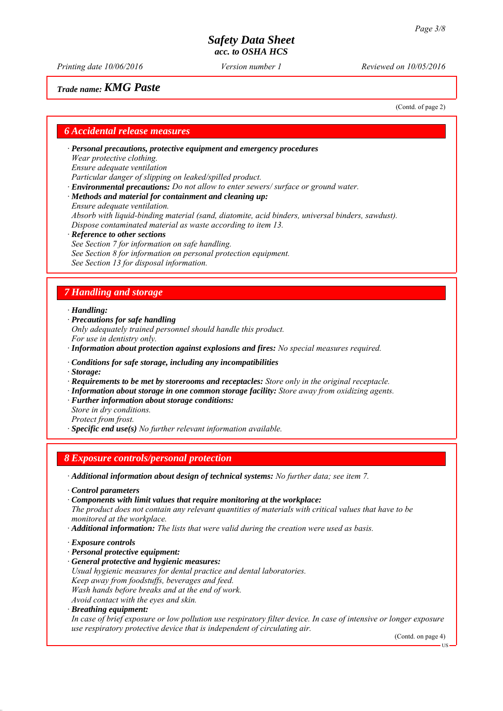*Printing date 10/06/2016 Reviewed on 10/05/2016 Version number 1*

# *Trade name: KMG Paste*

(Contd. of page 2)

## *6 Accidental release measures*

*∙ Personal precautions, protective equipment and emergency procedures Wear protective clothing. Ensure adequate ventilation Particular danger of slipping on leaked/spilled product. ∙ Environmental precautions: Do not allow to enter sewers/ surface or ground water.*

*∙ Methods and material for containment and cleaning up:*

*Ensure adequate ventilation. Absorb with liquid-binding material (sand, diatomite, acid binders, universal binders, sawdust). Dispose contaminated material as waste according to item 13.*

*∙ Reference to other sections*

*See Section 7 for information on safe handling. See Section 8 for information on personal protection equipment. See Section 13 for disposal information.*

# *7 Handling and storage*

*∙ Handling:*

*∙ Precautions for safe handling*

*Only adequately trained personnel should handle this product. For use in dentistry only.*

- *∙ Information about protection against explosions and fires: No special measures required.*
- *∙ Conditions for safe storage, including any incompatibilities*
- *∙ Storage:*
- *∙ Requirements to be met by storerooms and receptacles: Store only in the original receptacle.*
- *∙ Information about storage in one common storage facility: Store away from oxidizing agents.*
- *∙ Further information about storage conditions:*
- *Store in dry conditions. Protect from frost.*

*∙ Specific end use(s) No further relevant information available.*

# *8 Exposure controls/personal protection*

*∙ Additional information about design of technical systems: No further data; see item 7.*

- *∙ Control parameters*
- *∙ Components with limit values that require monitoring at the workplace:*

*The product does not contain any relevant quantities of materials with critical values that have to be monitored at the workplace.*

- *∙ Additional information: The lists that were valid during the creation were used as basis.*
- *∙ Exposure controls*
- *∙ Personal protective equipment:*
- *∙ General protective and hygienic measures:*
- *Usual hygienic measures for dental practice and dental laboratories.*
- *Keep away from foodstuffs, beverages and feed.*

*Wash hands before breaks and at the end of work.*

- *Avoid contact with the eyes and skin.*
- *∙ Breathing equipment:*

*In case of brief exposure or low pollution use respiratory filter device. In case of intensive or longer exposure use respiratory protective device that is independent of circulating air.*

(Contd. on page 4)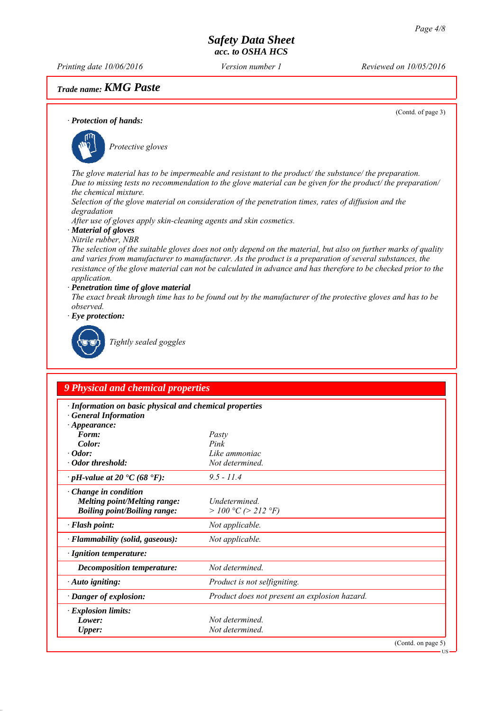*Printing date 10/06/2016 Reviewed on 10/05/2016 Version number 1*

# *Trade name: KMG Paste*

(Contd. of page 3)

US

#### *∙ Protection of hands:*



*The glove material has to be impermeable and resistant to the product/ the substance/ the preparation. Due to missing tests no recommendation to the glove material can be given for the product/ the preparation/ the chemical mixture.*

*Selection of the glove material on consideration of the penetration times, rates of diffusion and the degradation*

*After use of gloves apply skin-cleaning agents and skin cosmetics.*

*∙ Material of gloves*

*Nitrile rubber, NBR*

*The selection of the suitable gloves does not only depend on the material, but also on further marks of quality and varies from manufacturer to manufacturer. As the product is a preparation of several substances, the resistance of the glove material can not be calculated in advance and has therefore to be checked prior to the application.*

*∙ Penetration time of glove material*

*The exact break through time has to be found out by the manufacturer of the protective gloves and has to be observed.*

*∙ Eye protection:*



*Tightly sealed goggles*

# *9 Physical and chemical properties*

| · Information on basic physical and chemical properties<br><b>General Information</b>                     |                                               |  |
|-----------------------------------------------------------------------------------------------------------|-----------------------------------------------|--|
| $\cdot$ Appearance:                                                                                       |                                               |  |
| Form:                                                                                                     | Pasty                                         |  |
| Color:                                                                                                    | Pink                                          |  |
| $\cdot$ Odor:                                                                                             | Like ammoniac                                 |  |
| · Odor threshold:                                                                                         | Not determined.                               |  |
| $\cdot$ pH-value at 20 $\cdot$ C (68 $\cdot$ F):                                                          | $9.5 - 11.4$                                  |  |
| $\cdot$ Change in condition<br><b>Melting point/Melting range:</b><br><b>Boiling point/Boiling range:</b> | <i>Undetermined</i><br>> 100 °C (> 212 °F)    |  |
| $\cdot$ Flash point:                                                                                      | Not applicable.                               |  |
| · Flammability (solid, gaseous):                                                                          | Not applicable.                               |  |
| · Ignition temperature:                                                                                   |                                               |  |
| Decomposition temperature:                                                                                | Not determined.                               |  |
| $\cdot$ Auto igniting:                                                                                    | Product is not selfigniting.                  |  |
| $\cdot$ Danger of explosion:                                                                              | Product does not present an explosion hazard. |  |
| $\cdot$ Explosion limits:                                                                                 |                                               |  |
| Lower:                                                                                                    | Not determined                                |  |
| <b>Upper:</b>                                                                                             | Not determined.                               |  |
|                                                                                                           | (Cond. on page 5)                             |  |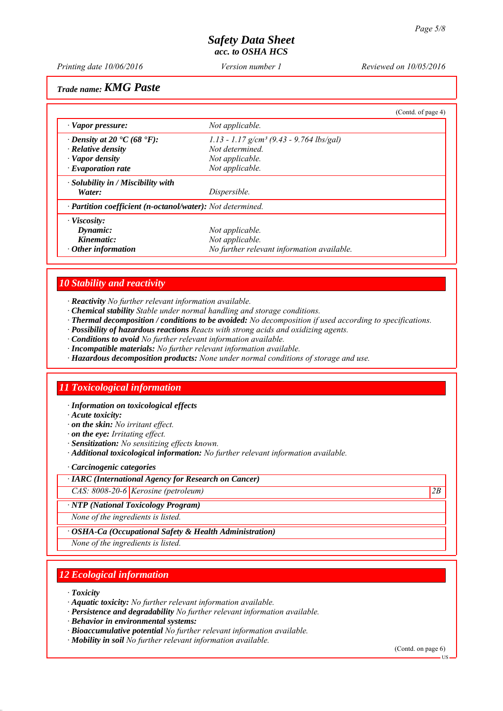*Printing date 10/06/2016 Reviewed on 10/05/2016 Version number 1*

*Trade name: KMG Paste*

|                                                            | (Contd. of page 4)                                   |  |
|------------------------------------------------------------|------------------------------------------------------|--|
| · Vapor pressure:                                          | Not applicable.                                      |  |
| $\cdot$ Density at 20 $\cdot$ C (68 $\cdot$ F):            | 1.13 - 1.17 g/cm <sup>3</sup> (9.43 - 9.764 lbs/gal) |  |
| $\cdot$ Relative density                                   | Not determined                                       |  |
| · Vapor density                                            | Not applicable.                                      |  |
| $\cdot$ Evaporation rate                                   | Not applicable.                                      |  |
| $\cdot$ Solubility in / Miscibility with                   |                                                      |  |
| Water:                                                     | Dispersible.                                         |  |
| · Partition coefficient (n-octanol/water): Not determined. |                                                      |  |
| $\cdot$ Viscosity:                                         |                                                      |  |
| Dynamic:                                                   | Not applicable.                                      |  |
| Kinematic:                                                 | Not applicable.                                      |  |
| $\cdot$ Other information                                  | No further relevant information available.           |  |

# *10 Stability and reactivity*

- *∙ Reactivity No further relevant information available.*
- *∙ Chemical stability Stable under normal handling and storage conditions.*
- *∙ Thermal decomposition / conditions to be avoided: No decomposition if used according to specifications.*
- *∙ Possibility of hazardous reactions Reacts with strong acids and oxidizing agents.*
- *∙ Conditions to avoid No further relevant information available.*
- *∙ Incompatible materials: No further relevant information available.*
- *∙ Hazardous decomposition products: None under normal conditions of storage and use.*

# *11 Toxicological information*

*∙ Information on toxicological effects*

- *∙ Acute toxicity:*
- *∙ on the skin: No irritant effect.*
- *∙ on the eye: Irritating effect.*
- *∙ Sensitization: No sensitizing effects known.*
- *∙ Additional toxicological information: No further relevant information available.*

#### *∙ Carcinogenic categories*

- *∙ IARC (International Agency for Research on Cancer)*
- *CAS: 8008-20-6 Kerosine (petroleum) 2B*

#### *∙ NTP (National Toxicology Program)*

*None of the ingredients is listed.*

*∙ OSHA-Ca (Occupational Safety & Health Administration)*

*None of the ingredients is listed.*

# *12 Ecological information*

*∙ Toxicity*

- *∙ Aquatic toxicity: No further relevant information available.*
- *∙ Persistence and degradability No further relevant information available.*
- *∙ Behavior in environmental systems:*
- *∙ Bioaccumulative potential No further relevant information available.*
- *∙ Mobility in soil No further relevant information available.*

(Contd. on page 6)

US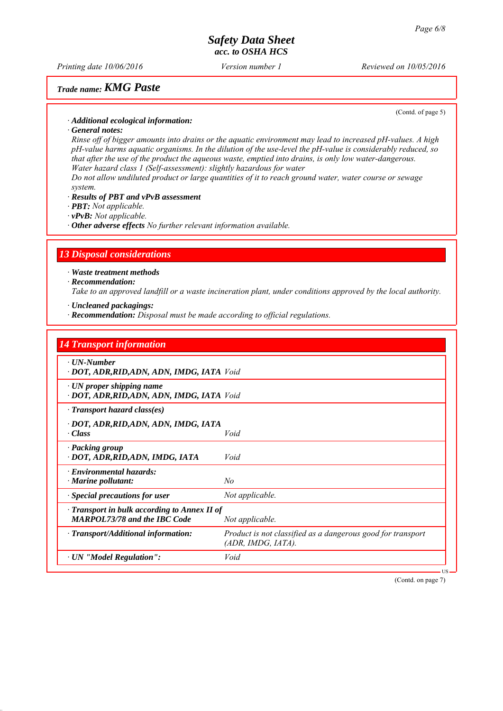*Printing date 10/06/2016 Reviewed on 10/05/2016 Version number 1*

# *Trade name: KMG Paste*

(Contd. of page 5)

*∙ Additional ecological information:*

*∙ General notes:*

*Rinse off of bigger amounts into drains or the aquatic environment may lead to increased pH-values. A high pH-value harms aquatic organisms. In the dilution of the use-level the pH-value is considerably reduced, so that after the use of the product the aqueous waste, emptied into drains, is only low water-dangerous. Water hazard class 1 (Self-assessment): slightly hazardous for water*

*Do not allow undiluted product or large quantities of it to reach ground water, water course or sewage system.*

*∙ Results of PBT and vPvB assessment*

*∙ PBT: Not applicable.*

*∙ vPvB: Not applicable.*

*∙ Other adverse effects No further relevant information available.*

#### *13 Disposal considerations*

*∙ Waste treatment methods*

*∙ Recommendation:*

*Take to an approved landfill or a waste incineration plant, under conditions approved by the local authority.*

*∙ Uncleaned packagings:*

*∙ Recommendation: Disposal must be made according to official regulations.*

| <b>14 Transport information</b>                                                     |                                                                                      |
|-------------------------------------------------------------------------------------|--------------------------------------------------------------------------------------|
| $\cdot$ UN-Number<br>· DOT, ADR, RID, ADN, ADN, IMDG, IATA Void                     |                                                                                      |
| $\cdot$ UN proper shipping name<br>· DOT, ADR, RID, ADN, ADN, IMDG, IATA Void       |                                                                                      |
| $\cdot$ Transport hazard class(es)                                                  |                                                                                      |
| · DOT, ADR, RID, ADN, ADN, IMDG, IATA<br>· Class                                    | Void                                                                                 |
| · Packing group<br>· DOT, ADR, RID, ADN, IMDG, IATA                                 | Void                                                                                 |
| · Environmental hazards:<br>· Marine pollutant:                                     | No                                                                                   |
| $\cdot$ Special precautions for user                                                | Not applicable.                                                                      |
| · Transport in bulk according to Annex II of<br><b>MARPOL73/78 and the IBC Code</b> | Not applicable.                                                                      |
| · Transport/Additional information:                                                 | Product is not classified as a dangerous good for transport<br>$(ADR, IMDG, IATA)$ . |
| $\cdot$ UN "Model Regulation":                                                      | Void                                                                                 |

(Contd. on page 7)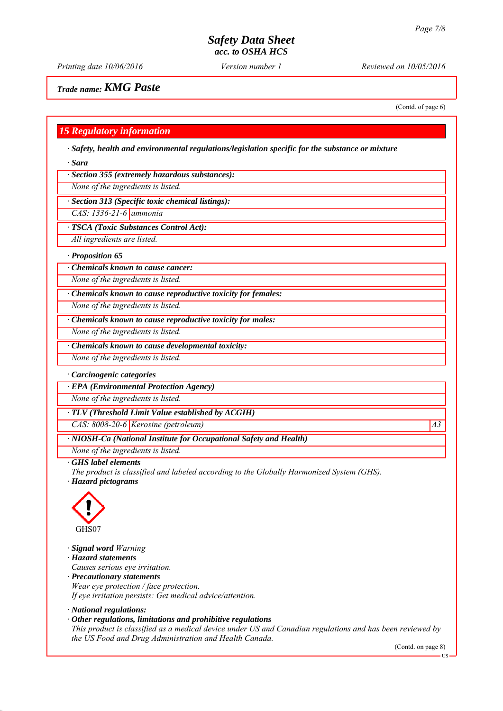*Printing date 10/06/2016 Reviewed on 10/05/2016 Version number 1*

(Contd. of page 6)

*Trade name: KMG Paste*

*15 Regulatory information*

*∙ Safety, health and environmental regulations/legislation specific for the substance or mixture*

*∙ Sara*

*∙ Section 355 (extremely hazardous substances):*

*None of the ingredients is listed.*

*∙ Section 313 (Specific toxic chemical listings):*

*CAS: 1336-21-6 ammonia*

*∙ TSCA (Toxic Substances Control Act):*

*All ingredients are listed.*

*∙ Proposition 65*

*∙ Chemicals known to cause cancer:*

*None of the ingredients is listed.*

*∙ Chemicals known to cause reproductive toxicity for females:*

*None of the ingredients is listed.*

*∙ Chemicals known to cause reproductive toxicity for males:*

*None of the ingredients is listed.*

*∙ Chemicals known to cause developmental toxicity:*

*None of the ingredients is listed.*

#### *∙ Carcinogenic categories*

*∙ EPA (Environmental Protection Agency)*

*None of the ingredients is listed.*

*∙ TLV (Threshold Limit Value established by ACGIH)*

*CAS: 8008-20-6 Kerosine (petroleum) A3*

*∙ NIOSH-Ca (National Institute for Occupational Safety and Health)*

*None of the ingredients is listed.*

*∙ GHS label elements*

*The product is classified and labeled according to the Globally Harmonized System (GHS).*

*∙ Hazard pictograms*



*∙ Signal word Warning*

*∙ Hazard statements*

*Causes serious eye irritation.*

*∙ Precautionary statements Wear eye protection / face protection. If eye irritation persists: Get medical advice/attention.*

*∙ National regulations:*

*∙ Other regulations, limitations and prohibitive regulations*

*This product is classified as a medical device under US and Canadian regulations and has been reviewed by the US Food and Drug Administration and Health Canada.*

(Contd. on page 8)